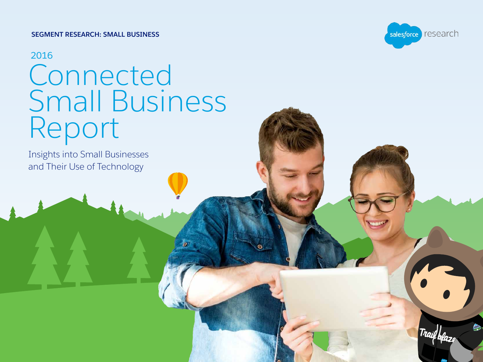#### **SEGMENT RESEARCH: SMALL BUSINESS**

## 2016 **Connected** Small Business Report

Insights into Small Businesses and Their Use of Technology

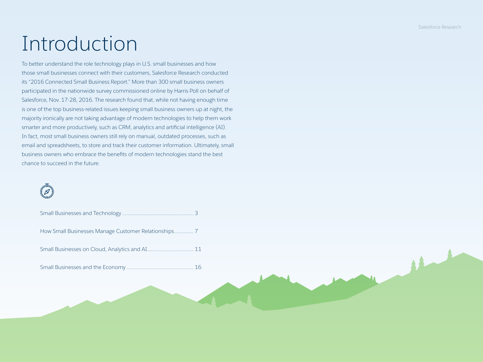# Introduction

To better understand the role technology plays in U.S. small businesses and how those small businesses connect with their customers, Salesforce Research conducted its "2016 Connected Small Business Report." More than 300 small business owners participated in the nationwide survey commissioned online by Harris Poll on behalf of Salesforce, Nov. 17-28, 2016. The research found that, while not having enough time is one of the top business-related issues keeping small business owners up at night, the majority ironically are not taking advantage of modern technologies to help them work smarter and more productively, such as CRM, analytics and artificial intelligence (AI). In fact, most small business owners still rely on manual, outdated processes, such as email and spreadsheets, to store and track their customer information. Ultimately, small business owners who embrace the benefits of modern technologies stand the best chance to succeed in the future.

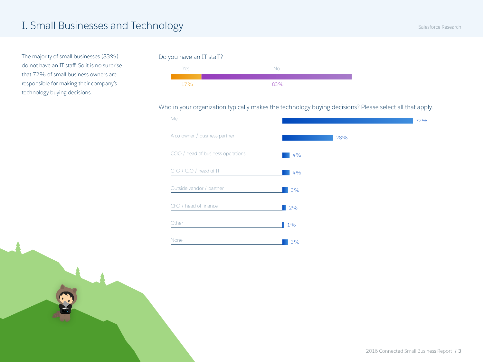<span id="page-2-0"></span>The majority of small businesses (83%) do not have an IT staff. So it is no surprise that 72% of small business owners are responsible for making their company's technology buying decisions.

#### Do you have an IT staff?



#### Who in your organization typically makes the technology buying decisions? Please select all that apply.

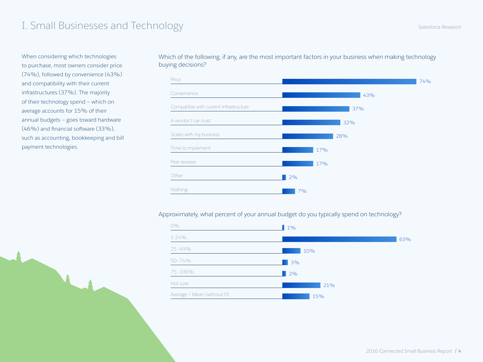When considering which technologies to purchase, most owners consider price (74%), followed by convenience (43%) and compatibility with their current infrastructures (37%). The majority of their technology spend — which on average accounts for 15% of their annual budgets — goes toward hardware (46%) and financial software (33%), such as accounting, bookkeeping and bill payment technologies.

Which of the following, if any, are the most important factors in your business when making technology buying decisions?



Approximately, what percent of your annual budget do you typically spend on technology?

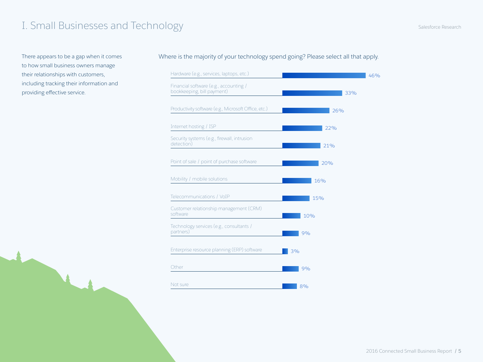to how small business owners manage their relationships with customers, including tracking their information and providing effective service.

#### There appears to be a gap when it comes Where is the majority of your technology spend going? Please select all that apply.

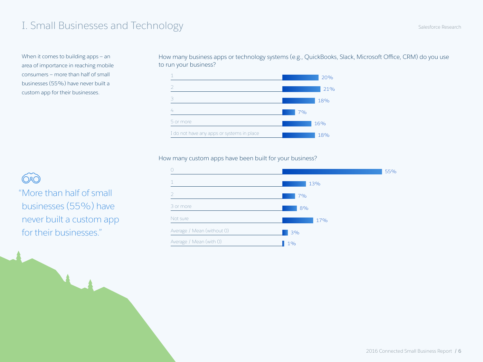When it comes to building apps — an area of importance in reaching mobile consumers — more than half of small businesses (55%) have never built a custom app for their businesses.

How many business apps or technology systems (e.g., QuickBooks, Slack, Microsoft Office, CRM) do you use to run your business?



#### How many custom apps have been built for your business?



 "More than half of small businesses (55%) have never built a custom app for their businesses."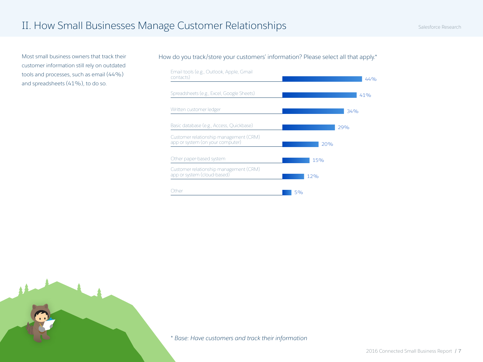customer information still rely on outdated tools and processes, such as email (44%) and spreadsheets (41%), to do so.

<span id="page-6-0"></span>Most small business owners that track their How do you track/store your customers' information? Please select all that apply.\*

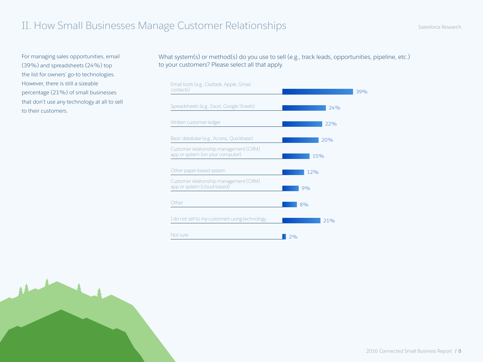For managing sales opportunities, email (39%) and spreadsheets (24%) top the list for owners' go-to technologies. However, there is still a sizeable percentage (21%) of small businesses that don't use any technology at all to sell to their customers.

What system(s) or method(s) do you use to sell (e.g., track leads, opportunities, pipeline, etc.) to your customers? Please select all that apply.

| Email tools (e.g., Outlook, Apple, Gmail<br>contacts)                      | 39% |
|----------------------------------------------------------------------------|-----|
| Spreadsheets (e.g., Excel, Google Sheets)                                  | 74% |
| Written customer ledger                                                    | 22% |
| Basic database (e.g., Access, Quickbase)                                   | 20% |
| Customer relationship management (CRM)<br>app or system (on your computer) | 15% |
| Other paper-based system                                                   | 12% |
| Customer relationship management (CRM)<br>app or system (cloud-based)      | 9%  |
| Other                                                                      | 8%  |
| I do not sell to my customers using technology.                            | 21% |
| Not sure                                                                   | 2%  |



2016 Connected Small Business Report / 8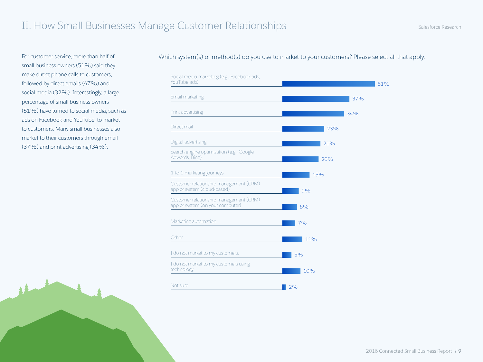For customer service, more than half of small business owners (51%) said they make direct phone calls to customers, followed by direct emails (47%) and social media (32%). Interestingly, a large percentage of small business owners (51%) have turned to social media, such as ads on Facebook and YouTube, to market to customers. Many small businesses also market to their customers through email (37%) and print advertising (34%).

#### Which system(s) or method(s) do you use to market to your customers? Please select all that apply.

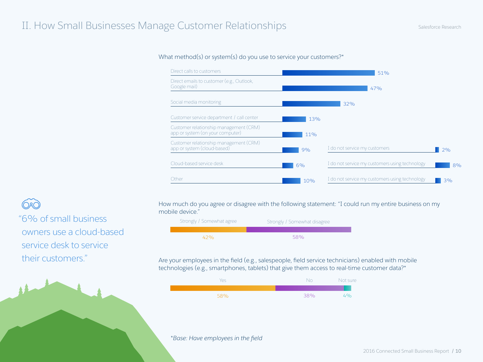#### What method(s) or system(s) do you use to service your customers?\*



#### How much do you agree or disagree with the following statement: "I could run my entire business on my mobile device."



#### Are your employees in the field (e.g., salespeople, field service technicians) enabled with mobile technologies (e.g., smartphones, tablets) that give them access to real-time customer data?\*



*\*Base: Have employees in the field*

 "6% of small business owners use a cloud-based service desk to service their customers."

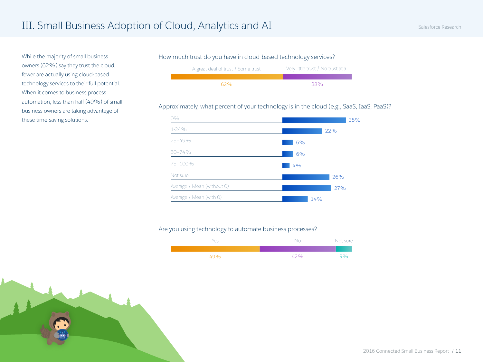owners (62%) say they trust the cloud, fewer are actually using cloud-based technology services to their full potential. When it comes to business process automation, less than half (49%) of small business owners are taking advantage of these time-saving solutions.

#### <span id="page-10-0"></span>While the majority of small business How much trust do you have in cloud-based technology services?



### Approximately, what percent of your technology is in the cloud (e.g., SaaS, IaaS, PaaS)?



#### Are you using technology to automate business processes?

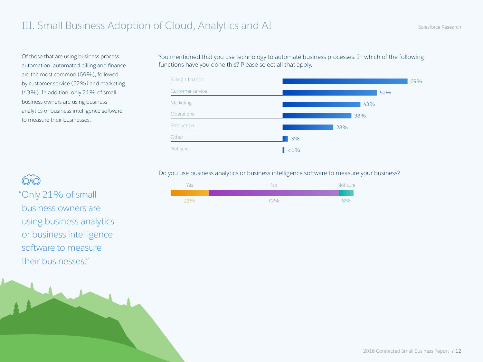Of those that are using business process automation, automated billing and finance are the most common (69%), followed by customer service (52%) and marketing (43%). In addition, only 21% of small business owners are using business analytics or business intelligence software to measure their businesses.

business owners are using business analytics or business intelligence software to measure their businesses."

You mentioned that you use technology to automate business processes. In which of the following functions have you done this? Please select all that apply.



Do you use business analytics or business intelligence software to measure your business?

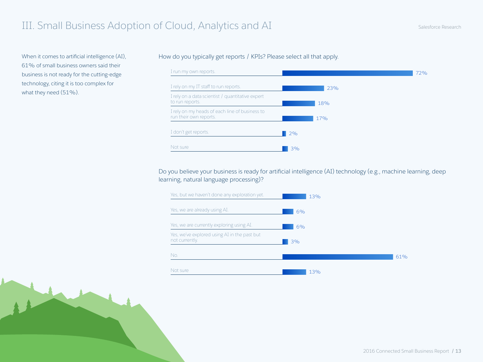When it comes to artificial intelligence (AI), 61% of small business owners said their business is not ready for the cutting-edge technology, citing it is too complex for what they need (51%).

### How do you typically get reports / KPIs? Please select all that apply.



### Do you believe your business is ready for artificial intelligence (AI) technology (e.g., machine learning, deep learning, natural language processing)?

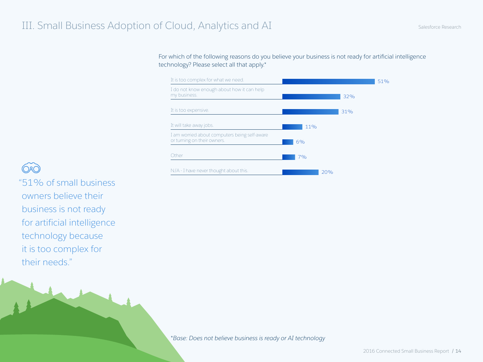For which of the following reasons do you believe your business is not ready for artificial intelligence technology? Please select all that apply.\*



"51% of small business

owners believe their business is not ready for artificial intelligence technology because it is too complex for their needs."

*\*Base: Does not believe business is ready or AI technology*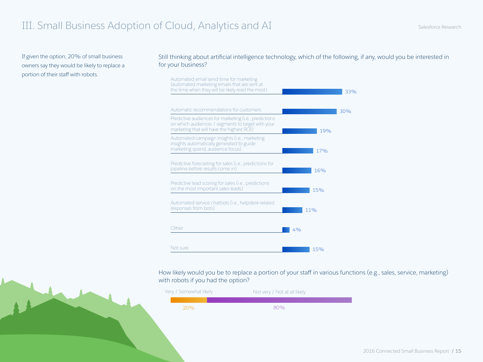If given the option, 20% of small business owners say they would be likely to replace a

#### Still thinking about artificial intelligence technology, which of the following, if any, would you be interested in for your business?



How likely would you be to replace a portion of your staff in various functions (e.g., sales, service, marketing) with robots if you had the option?

| Very / Somewhat likely | Not very / Not at all likely |  |
|------------------------|------------------------------|--|
|                        |                              |  |
| 20%                    | 80%                          |  |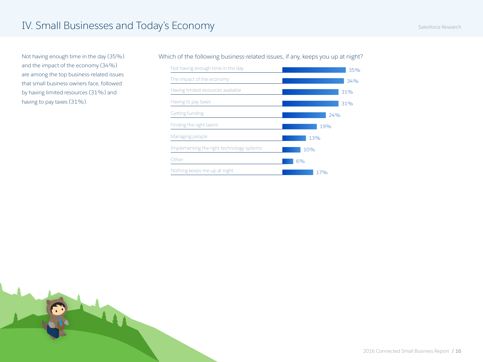<span id="page-15-0"></span>Not having enough time in the day (35%) and the impact of the economy (34%) are among the top business-related issues that small business owners face, followed by having limited resources (31%) and having to pay taxes (31%).

#### Which of the following business-related issues, if any, keeps you up at night?



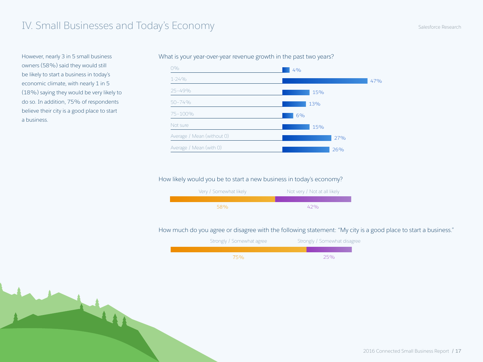However, nearly 3 in 5 small business owners (58%) said they would still be likely to start a business in today's economic climate, with nearly 1 in 5 (18%) saying they would be very likely to do so. In addition, 75% of respondents believe their city is a good place to start a business.

#### What is your year-over-year revenue growth in the past two years?



#### How likely would you be to start a new business in today's economy?



#### How much do you agree or disagree with the following statement: "My city is a good place to start a business."

| Strongly / Somewhat agree | Strongly / Somewhat disagree |
|---------------------------|------------------------------|
|                           |                              |
| 75%                       | 25%                          |